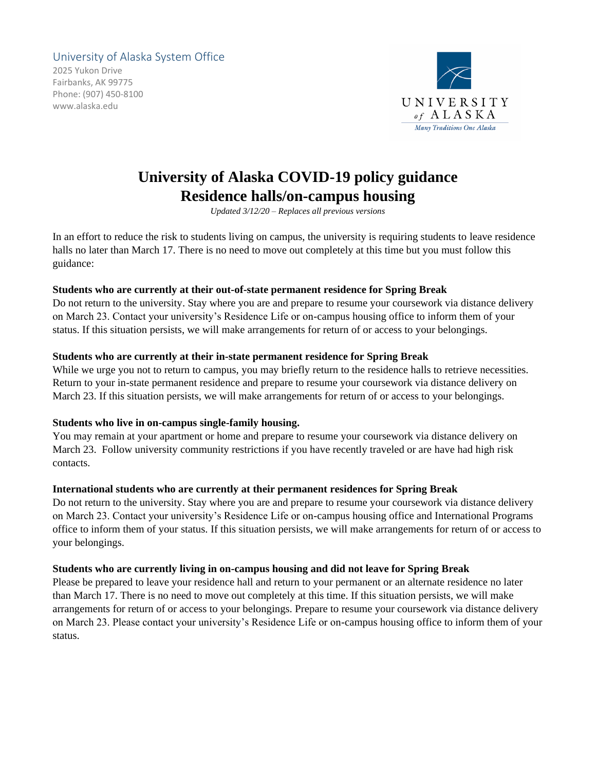# University of Alaska System Office

2025 Yukon Drive Fairbanks, AK 99775 Phone: (907) 450-8100 www.alaska.edu



# **University of Alaska COVID-19 policy guidance Residence halls/on-campus housing**

*Updated 3/12/20 – Replaces all previous versions*

In an effort to reduce the risk to students living on campus, the university is requiring students to leave residence halls no later than March 17. There is no need to move out completely at this time but you must follow this guidance:

### **Students who are currently at their out-of-state permanent residence for Spring Break**

Do not return to the university. Stay where you are and prepare to resume your coursework via distance delivery on March 23. Contact your university's Residence Life or on-campus housing office to inform them of your status. If this situation persists, we will make arrangements for return of or access to your belongings.

### **Students who are currently at their in-state permanent residence for Spring Break**

While we urge you not to return to campus, you may briefly return to the residence halls to retrieve necessities. Return to your in-state permanent residence and prepare to resume your coursework via distance delivery on March 23. If this situation persists, we will make arrangements for return of or access to your belongings.

## **Students who live in on-campus single-family housing.**

You may remain at your apartment or home and prepare to resume your coursework via distance delivery on March 23. Follow university community restrictions if you have recently traveled or are have had high risk contacts.

## **International students who are currently at their permanent residences for Spring Break**

Do not return to the university. Stay where you are and prepare to resume your coursework via distance delivery on March 23. Contact your university's Residence Life or on-campus housing office and International Programs office to inform them of your status. If this situation persists, we will make arrangements for return of or access to your belongings.

#### **Students who are currently living in on-campus housing and did not leave for Spring Break**

Please be prepared to leave your residence hall and return to your permanent or an alternate residence no later than March 17. There is no need to move out completely at this time. If this situation persists, we will make arrangements for return of or access to your belongings. Prepare to resume your coursework via distance delivery on March 23. Please contact your university's Residence Life or on-campus housing office to inform them of your status.